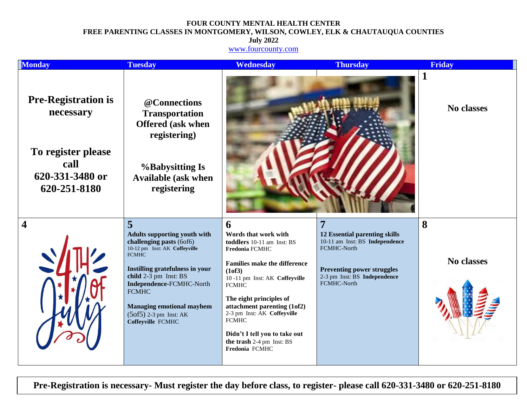## **FOUR COUNTY MENTAL HEALTH CENTER FREE PARENTING CLASSES IN MONTGOMERY, WILSON, COWLEY, ELK & CHAUTAUQUA COUNTIES**

**July 2022**

[www.fourcounty.com](http://www.fourcounty.com/)

| <b>Monday</b>                                                                                            | <b>Tuesday</b>                                                                                                                                                                                                                                                                                                     | <b>Wednesday</b>                                                                                                                                                                                                                                                                                                                                                                  | <b>Thursday</b>                                                                                                                                                         | <b>Friday</b>   |
|----------------------------------------------------------------------------------------------------------|--------------------------------------------------------------------------------------------------------------------------------------------------------------------------------------------------------------------------------------------------------------------------------------------------------------------|-----------------------------------------------------------------------------------------------------------------------------------------------------------------------------------------------------------------------------------------------------------------------------------------------------------------------------------------------------------------------------------|-------------------------------------------------------------------------------------------------------------------------------------------------------------------------|-----------------|
| <b>Pre-Registration is</b><br>necessary<br>To register please<br>call<br>620-331-3480 or<br>620-251-8180 | @Connections<br><b>Transportation</b><br><b>Offered (ask when</b><br>registering)<br><b>%Babysitting Is</b><br><b>Available (ask when</b><br>registering                                                                                                                                                           |                                                                                                                                                                                                                                                                                                                                                                                   |                                                                                                                                                                         | No classes      |
| 4                                                                                                        | 5<br><b>Adults supporting youth with</b><br>challenging pasts (6of6)<br>10-12 pm Inst: AK Coffeyville<br><b>FCMHC</b><br>Instilling gratefulness in your<br>child 2-3 pm Inst: BS<br>Independence-FCMHC-North<br><b>FCMHC</b><br><b>Managing emotional mayhem</b><br>$(5of5)$ 2-3 pm Inst: AK<br>Coffeyville FCMHC | 6<br>Words that work with<br>toddlers 10-11 am Inst: BS<br>Fredonia FCMHC<br><b>Families make the difference</b><br>(1 <sub>0</sub> f3)<br>10-11 pm Inst: AK Coffeyville<br><b>FCMHC</b><br>The eight principles of<br>attachment parenting (1of2)<br>2-3 pm Inst: AK Coffeyville<br><b>FCMHC</b><br>Didn't I tell you to take out<br>the trash 2-4 pm Inst: BS<br>Fredonia FCMHC | 7<br>12 Essential parenting skills<br>10-11 am Inst: BS Independence<br>FCMHC-North<br><b>Preventing power struggles</b><br>2-3 pm Inst: BS Independence<br>FCMHC-North | 8<br>No classes |

**Pre-Registration is necessary- Must register the day before class, to register- please call 620-331-3480 or 620-251-8180**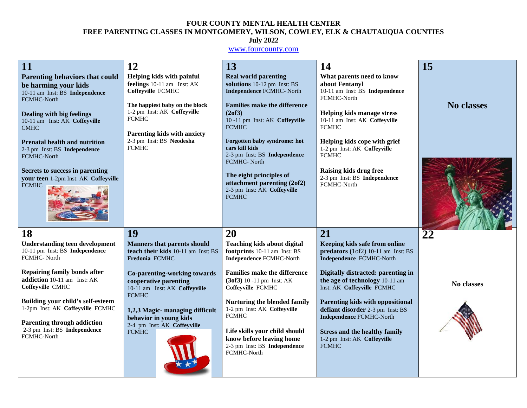## **FOUR COUNTY MENTAL HEALTH CENTER FREE PARENTING CLASSES IN MONTGOMERY, WILSON, COWLEY, ELK & CHAUTAUQUA COUNTIES July 2022**

## [www.fourcounty.com](http://www.fourcounty.com/)

| 11                                                                                                             | 12                                                                                               | 13                                                                                                          | 14                                                                                                               | 15                |
|----------------------------------------------------------------------------------------------------------------|--------------------------------------------------------------------------------------------------|-------------------------------------------------------------------------------------------------------------|------------------------------------------------------------------------------------------------------------------|-------------------|
| <b>Parenting behaviors that could</b><br>be harming your kids<br>10-11 am Inst: BS Independence<br>FCMHC-North | Helping kids with painful<br>feelings 10-11 am Inst: AK<br>Coffeyville FCMHC                     | <b>Real world parenting</b><br>solutions 10-12 pm Inst: BS<br><b>Independence FCMHC- North</b>              | What parents need to know<br>about Fentanyl<br>10-11 am Inst: BS Independence<br>FCMHC-North                     |                   |
| <b>Dealing with big feelings</b><br>10-11 am Inst: AK Coffeyville<br><b>CMHC</b>                               | The happiest baby on the block<br>1-2 pm Inst: AK Coffeyville<br><b>FCMHC</b>                    | <b>Families make the difference</b><br>(2of3)<br>10-11 pm Inst: AK Coffeyville<br><b>FCMHC</b>              | <b>Helping kids manage stress</b><br>10-11 am Inst: AK Coffeyville<br><b>FCMHC</b>                               | <b>No classes</b> |
| <b>Prenatal health and nutrition</b><br>2-3 pm Inst: BS Independence<br>FCMHC-North                            | Parenting kids with anxiety<br>2-3 pm Inst: BS Neodesha<br><b>FCMHC</b>                          | Forgotten baby syndrome: hot<br>cars kill kids<br>2-3 pm Inst: BS Independence<br>FCMHC-North               | Helping kids cope with grief<br>1-2 pm Inst: AK Coffeyville<br><b>FCMHC</b>                                      |                   |
| Secrets to success in parenting<br>your teen 1-2pm Inst: AK Coffeyville<br><b>FCMHC</b>                        |                                                                                                  | The eight principles of<br>attachment parenting (2of2)<br>2-3 pm Inst: AK Coffeyville<br><b>FCMHC</b>       | Raising kids drug free<br>2-3 pm Inst: BS Independence<br>FCMHC-North                                            |                   |
|                                                                                                                |                                                                                                  |                                                                                                             |                                                                                                                  |                   |
| 18<br><b>Understanding teen development</b><br>10-11 pm Inst: BS Independence<br>FCMHC-North                   | 19<br><b>Manners that parents should</b><br>teach their kids 10-11 am Inst: BS<br>Fredonia FCMHC | 20<br><b>Teaching kids about digital</b><br>footprints 10-11 am Inst: BS<br><b>Independence FCMHC-North</b> | 21<br>Keeping kids safe from online<br>$predators (1 of 2) 10-11 am Inst: BS$<br><b>Independence FCMHC-North</b> | 22                |
| <b>Repairing family bonds after</b><br>addiction 10-11 am Inst: AK<br>Coffeyville CMHC                         | Co-parenting-working towards<br>cooperative parenting<br>10-11 am Inst: AK Coffeyville           | <b>Families make the difference</b><br>(3of3) 10 -11 pm Inst: AK<br>Coffeyville FCMHC                       | Digitally distracted: parenting in<br>the age of technology 10-11 am<br>Inst: AK Coffeyville FCMHC               | No classes        |
| Building your child's self-esteem<br>1-2pm Inst: AK Coffeyville FCMHC<br><b>Parenting through addiction</b>    | <b>FCMHC</b><br>1,2,3 Magic- managing difficult<br>behavior in young kids                        | Nurturing the blended family<br>1-2 pm Inst: AK Coffeyville<br><b>FCMHC</b>                                 | Parenting kids with oppositional<br>defiant disorder 2-3 pm Inst: BS<br><b>Independence FCMHC-North</b>          |                   |
| 2-3 pm Inst: BS Independence<br>FCMHC-North                                                                    | 2-4 pm Inst: AK Coffeyville<br><b>FCMHC</b>                                                      | Life skills your child should<br>know before leaving home<br>2-3 pm Inst: BS Independence<br>FCMHC-North    | <b>Stress and the healthy family</b><br>1-2 pm Inst: AK Coffeyville<br><b>FCMHC</b>                              |                   |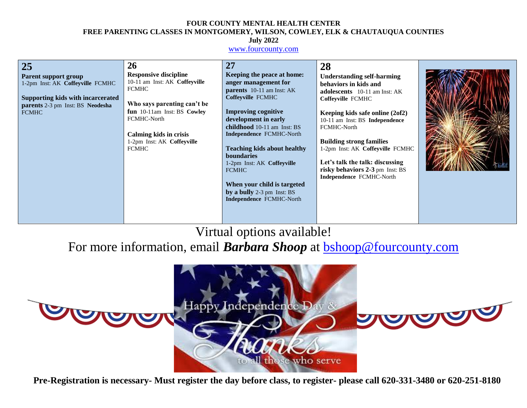### **FOUR COUNTY MENTAL HEALTH CENTER FREE PARENTING CLASSES IN MONTGOMERY, WILSON, COWLEY, ELK & CHAUTAUQUA COUNTIES July 2022**

## [www.fourcounty.com](http://www.fourcounty.com/)

| 25<br><b>Parent support group</b><br>1-2pm Inst: AK Coffeyville FCMHC<br><b>Supporting kids with incarcerated</b><br>parents 2-3 pm Inst: BS Neodesha<br><b>FCMHC</b> | 26<br><b>Responsive discipline</b><br>10-11 am Inst: AK Coffeyville<br><b>FCMHC</b><br>Who says parenting can't be<br>fun 10-11am Inst: BS Cowley<br>FCMHC-North<br><b>Calming kids in crisis</b><br>1-2pm Inst: AK Coffeyville<br><b>FCMHC</b> | 27<br>Keeping the peace at home:<br>anger management for<br><b>parents</b> 10-11 am Inst: AK<br>Coffeyville FCMHC<br><b>Improving cognitive</b><br>development in early<br>childhood 10-11 am Inst: BS<br>Independence FCMHC-North<br><b>Teaching kids about healthy</b><br><b>boundaries</b><br>1-2pm Inst: AK Coffeyville<br><b>FCMHC</b><br>When your child is targeted<br>by a bully 2-3 pm Inst: BS<br>Independence FCMHC-North | 28<br><b>Understanding self-harming</b><br>behaviors in kids and<br>adolescents 10-11 am Inst: AK<br>Coffeyville FCMHC<br>Keeping kids safe online (2of2)<br>10-11 am Inst: BS Independence<br>FCMHC-North<br><b>Building strong families</b><br>1-2pm Inst: AK Coffeyville FCMHC<br>Let's talk the talk: discussing<br>risky behaviors 2-3 pm Inst: BS<br>Independence FCMHC-North |  |
|-----------------------------------------------------------------------------------------------------------------------------------------------------------------------|-------------------------------------------------------------------------------------------------------------------------------------------------------------------------------------------------------------------------------------------------|--------------------------------------------------------------------------------------------------------------------------------------------------------------------------------------------------------------------------------------------------------------------------------------------------------------------------------------------------------------------------------------------------------------------------------------|-------------------------------------------------------------------------------------------------------------------------------------------------------------------------------------------------------------------------------------------------------------------------------------------------------------------------------------------------------------------------------------|--|
|-----------------------------------------------------------------------------------------------------------------------------------------------------------------------|-------------------------------------------------------------------------------------------------------------------------------------------------------------------------------------------------------------------------------------------------|--------------------------------------------------------------------------------------------------------------------------------------------------------------------------------------------------------------------------------------------------------------------------------------------------------------------------------------------------------------------------------------------------------------------------------------|-------------------------------------------------------------------------------------------------------------------------------------------------------------------------------------------------------------------------------------------------------------------------------------------------------------------------------------------------------------------------------------|--|

# Virtual options available!

For more information, email **Barbara Shoop** at **bshoop@fourcounty.com** 



**Pre-Registration is necessary- Must register the day before class, to register- please call 620-331-3480 or 620-251-8180**